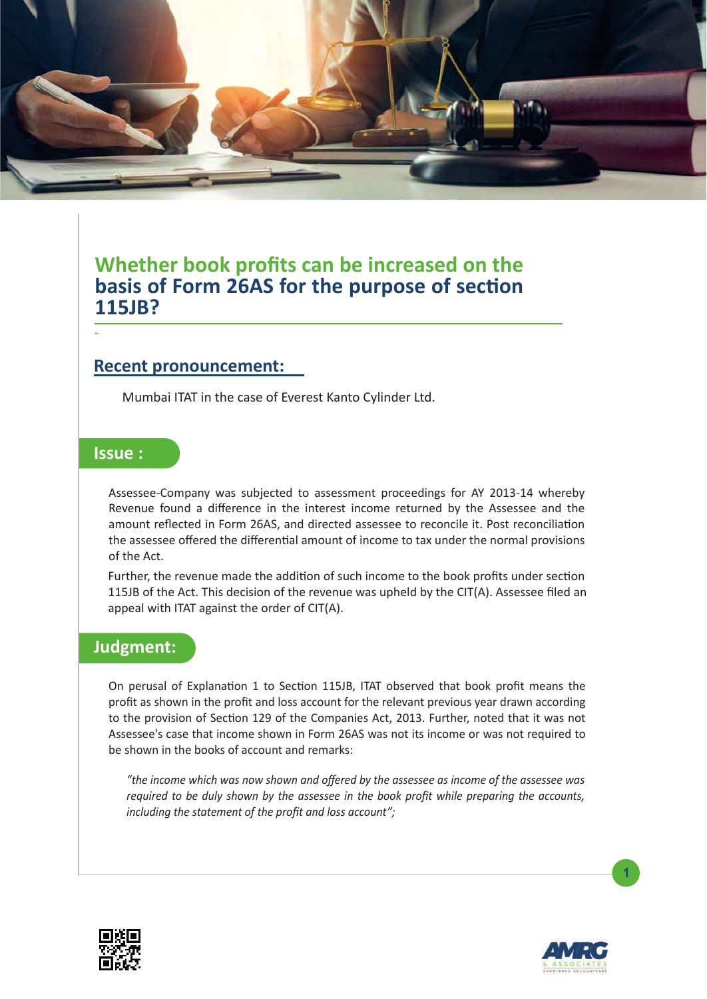

## **Whether book profits can be increased on the basis of Form 26AS for the purpose of section 115JB?**

## **Recent pronouncement:**

Mumbai ITAT in the case of Everest Kanto Cylinder Ltd.

## **Issue :**

-

Assessee-Company was subjected to assessment proceedings for AY 2013-14 whereby Revenue found a difference in the interest income returned by the Assessee and the amount reflected in Form 26AS, and directed assessee to reconcile it. Post reconciliation the assessee offered the differential amount of income to tax under the normal provisions of the Act.

Further, the revenue made the addition of such income to the book profits under section 115JB of the Act. This decision of the revenue was upheld by the CIT(A). Assessee filed an appeal with ITAT against the order of CIT(A).

## **Judgment:**

On perusal of Explanation 1 to Section 115JB, ITAT observed that book profit means the profit as shown in the profit and loss account for the relevant previous year drawn according to the provision of Section 129 of the Companies Act, 2013. Further, noted that it was not Assessee's case that income shown in Form 26AS was not its income or was not required to be shown in the books of account and remarks:

*"the income which was now shown and offered by the assessee as income of the assessee was required to be duly shown by the assessee in the book profit while preparing the accounts, including the statement of the profit and loss account";* 





**1**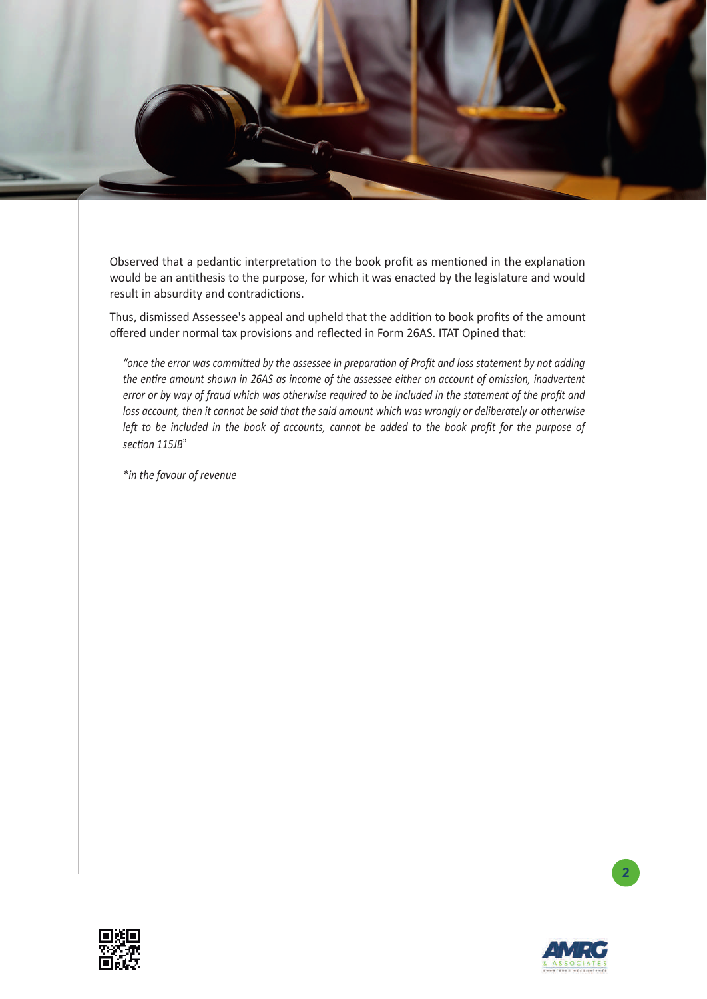

Observed that a pedantic interpretation to the book profit as mentioned in the explanation would be an antithesis to the purpose, for which it was enacted by the legislature and would result in absurdity and contradictions.

Thus, dismissed Assessee's appeal and upheld that the addition to book profits of the amount offered under normal tax provisions and reflected in Form 26AS. ITAT Opined that:

"once the error was committed by the assessee in preparation of Profit and loss statement by not adding the entire amount shown in 26AS as income of the assessee either on account of omission, inadvertent *error or by way of fraud which was otherwise required to be included in the statement of the profit and loss account, then it cannot be said that the said amount which was wrongly or deliberately or otherwise*  left to be included in the book of accounts, cannot be added to the book profit for the purpose of section 115JB"

*\*in the favour of revenue*





**2**